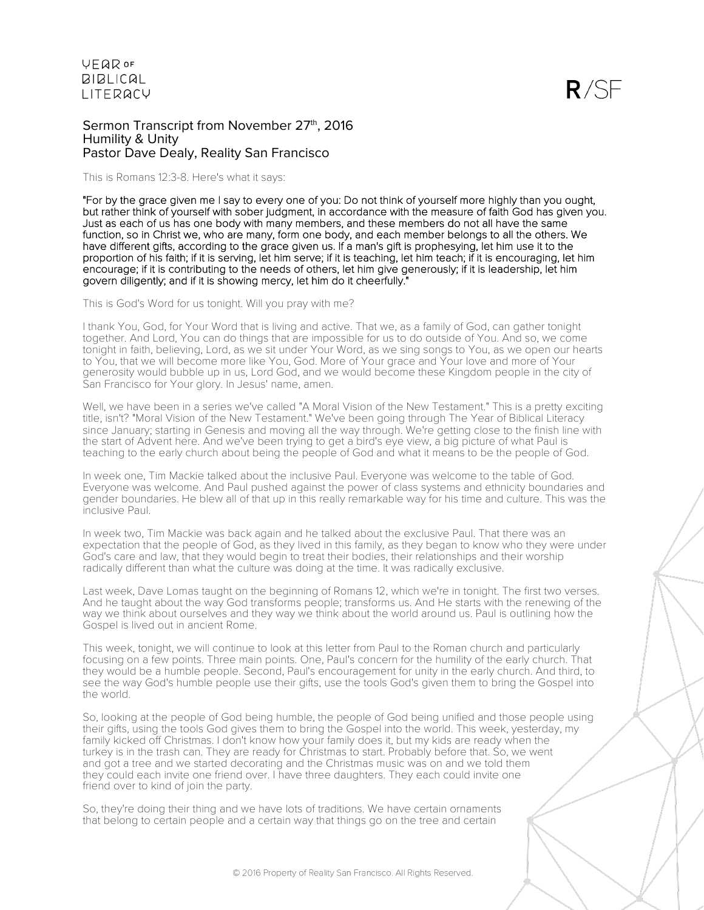$R/SF$ 

Sermon Transcript from November 27th, 2016 Humility & Unity Pastor Dave Dealy, Reality San Francisco

This is Romans 12:3-8. Here's what it says:

"For by the grace given me I say to every one of you: Do not think of yourself more highly than you ought, but rather think of yourself with sober judgment, in accordance with the measure of faith God has given you. Just as each of us has one body with many members, and these members do not all have the same function, so in Christ we, who are many, form one body, and each member belongs to all the others. We have different gifts, according to the grace given us. If a man's gift is prophesying, let him use it to the proportion of his faith; if it is serving, let him serve; if it is teaching, let him teach; if it is encouraging, let him encourage; if it is contributing to the needs of others, let him give generously; if it is leadership, let him govern diligently; and if it is showing mercy, let him do it cheerfully."

This is God's Word for us tonight. Will you pray with me?

I thank You, God, for Your Word that is living and active. That we, as a family of God, can gather tonight together. And Lord, You can do things that are impossible for us to do outside of You. And so, we come tonight in faith, believing, Lord, as we sit under Your Word, as we sing songs to You, as we open our hearts to You, that we will become more like You, God. More of Your grace and Your love and more of Your generosity would bubble up in us, Lord God, and we would become these Kingdom people in the city of San Francisco for Your glory. In Jesus' name, amen.

Well, we have been in a series we've called "A Moral Vision of the New Testament." This is a pretty exciting title, isn't? "Moral Vision of the New Testament." We've been going through The Year of Biblical Literacy since January; starting in Genesis and moving all the way through. We're getting close to the finish line with the start of Advent here. And we've been trying to get a bird's eye view, a big picture of what Paul is teaching to the early church about being the people of God and what it means to be the people of God.

In week one, Tim Mackie talked about the inclusive Paul. Everyone was welcome to the table of God. Everyone was welcome. And Paul pushed against the power of class systems and ethnicity boundaries and gender boundaries. He blew all of that up in this really remarkable way for his time and culture. This was the inclusive Paul.

In week two, Tim Mackie was back again and he talked about the exclusive Paul. That there was an expectation that the people of God, as they lived in this family, as they began to know who they were under God's care and law, that they would begin to treat their bodies, their relationships and their worship radically different than what the culture was doing at the time. It was radically exclusive.

Last week, Dave Lomas taught on the beginning of Romans 12, which we're in tonight. The first two verses. And he taught about the way God transforms people; transforms us. And He starts with the renewing of the way we think about ourselves and they way we think about the world around us. Paul is outlining how the Gospel is lived out in ancient Rome.

This week, tonight, we will continue to look at this letter from Paul to the Roman church and particularly focusing on a few points. Three main points. One, Paul's concern for the humility of the early church. That they would be a humble people. Second, Paul's encouragement for unity in the early church. And third, to see the way God's humble people use their gifts, use the tools God's given them to bring the Gospel into the world.

So, looking at the people of God being humble, the people of God being unified and those people using their gifts, using the tools God gives them to bring the Gospel into the world. This week, yesterday, my family kicked off Christmas. I don't know how your family does it, but my kids are ready when the turkey is in the trash can. They are ready for Christmas to start. Probably before that. So, we went and got a tree and we started decorating and the Christmas music was on and we told them they could each invite one friend over. I have three daughters. They each could invite one friend over to kind of join the party.

So, they're doing their thing and we have lots of traditions. We have certain ornaments that belong to certain people and a certain way that things go on the tree and certain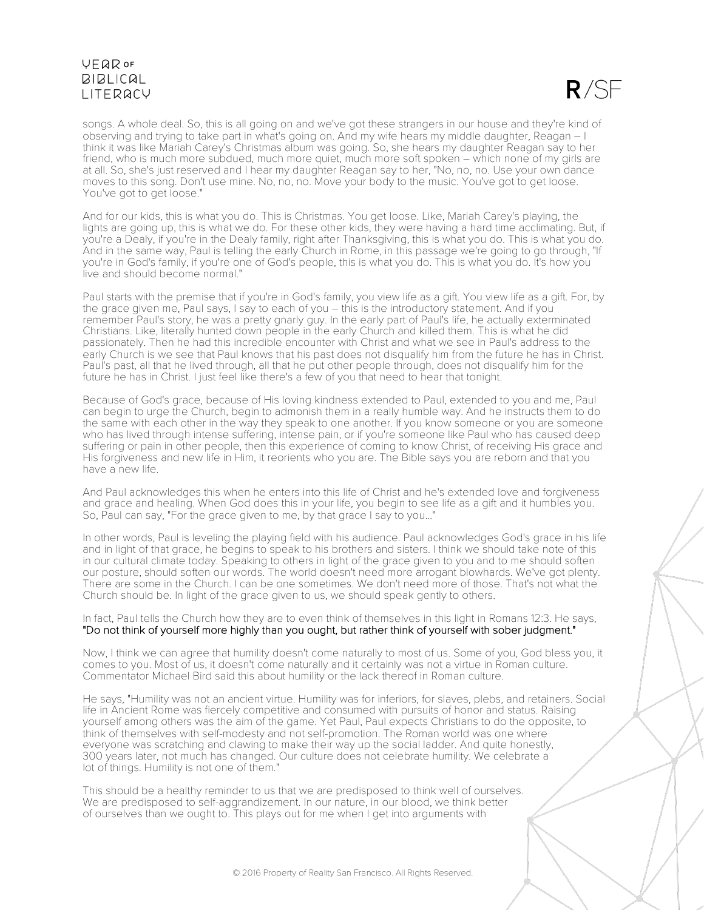

songs. A whole deal. So, this is all going on and we've got these strangers in our house and they're kind of observing and trying to take part in what's going on. And my wife hears my middle daughter, Reagan – I think it was like Mariah Carey's Christmas album was going. So, she hears my daughter Reagan say to her friend, who is much more subdued, much more quiet, much more soft spoken – which none of my girls are at all. So, she's just reserved and I hear my daughter Reagan say to her, "No, no, no. Use your own dance moves to this song. Don't use mine. No, no, no. Move your body to the music. You've got to get loose. You've got to get loose."

And for our kids, this is what you do. This is Christmas. You get loose. Like, Mariah Carey's playing, the lights are going up, this is what we do. For these other kids, they were having a hard time acclimating. But, if you're a Dealy, if you're in the Dealy family, right after Thanksgiving, this is what you do. This is what you do. And in the same way, Paul is telling the early Church in Rome, in this passage we're going to go through, "If you're in God's family, if you're one of God's people, this is what you do. This is what you do. It's how you live and should become normal."

Paul starts with the premise that if you're in God's family, you view life as a gift. You view life as a gift. For, by the grace given me, Paul says, I say to each of you – this is the introductory statement. And if you remember Paul's story, he was a pretty gnarly guy. In the early part of Paul's life, he actually exterminated Christians. Like, literally hunted down people in the early Church and killed them. This is what he did passionately. Then he had this incredible encounter with Christ and what we see in Paul's address to the early Church is we see that Paul knows that his past does not disqualify him from the future he has in Christ. Paul's past, all that he lived through, all that he put other people through, does not disqualify him for the future he has in Christ. I just feel like there's a few of you that need to hear that tonight.

Because of God's grace, because of His loving kindness extended to Paul, extended to you and me, Paul can begin to urge the Church, begin to admonish them in a really humble way. And he instructs them to do the same with each other in the way they speak to one another. If you know someone or you are someone who has lived through intense suffering, intense pain, or if you're someone like Paul who has caused deep suffering or pain in other people, then this experience of coming to know Christ, of receiving His grace and His forgiveness and new life in Him, it reorients who you are. The Bible says you are reborn and that you have a new life.

And Paul acknowledges this when he enters into this life of Christ and he's extended love and forgiveness and grace and healing. When God does this in your life, you begin to see life as a gift and it humbles you. So, Paul can say, "For the grace given to me, by that grace I say to you..."

In other words, Paul is leveling the playing field with his audience. Paul acknowledges God's grace in his life and in light of that grace, he begins to speak to his brothers and sisters. I think we should take note of this in our cultural climate today. Speaking to others in light of the grace given to you and to me should soften our posture, should soften our words. The world doesn't need more arrogant blowhards. We've got plenty. There are some in the Church. I can be one sometimes. We don't need more of those. That's not what the Church should be. In light of the grace given to us, we should speak gently to others.

In fact, Paul tells the Church how they are to even think of themselves in this light in Romans 12:3. He says, "Do not think of yourself more highly than you ought, but rather think of yourself with sober judgment."

Now, I think we can agree that humility doesn't come naturally to most of us. Some of you, God bless you, it comes to you. Most of us, it doesn't come naturally and it certainly was not a virtue in Roman culture. Commentator Michael Bird said this about humility or the lack thereof in Roman culture.

He says, "Humility was not an ancient virtue. Humility was for inferiors, for slaves, plebs, and retainers. Social life in Ancient Rome was fiercely competitive and consumed with pursuits of honor and status. Raising yourself among others was the aim of the game. Yet Paul, Paul expects Christians to do the opposite, to think of themselves with self-modesty and not self-promotion. The Roman world was one where everyone was scratching and clawing to make their way up the social ladder. And quite honestly, 300 years later, not much has changed. Our culture does not celebrate humility. We celebrate a lot of things. Humility is not one of them."

This should be a healthy reminder to us that we are predisposed to think well of ourselves. We are predisposed to self-aggrandizement. In our nature, in our blood, we think better of ourselves than we ought to. This plays out for me when I get into arguments with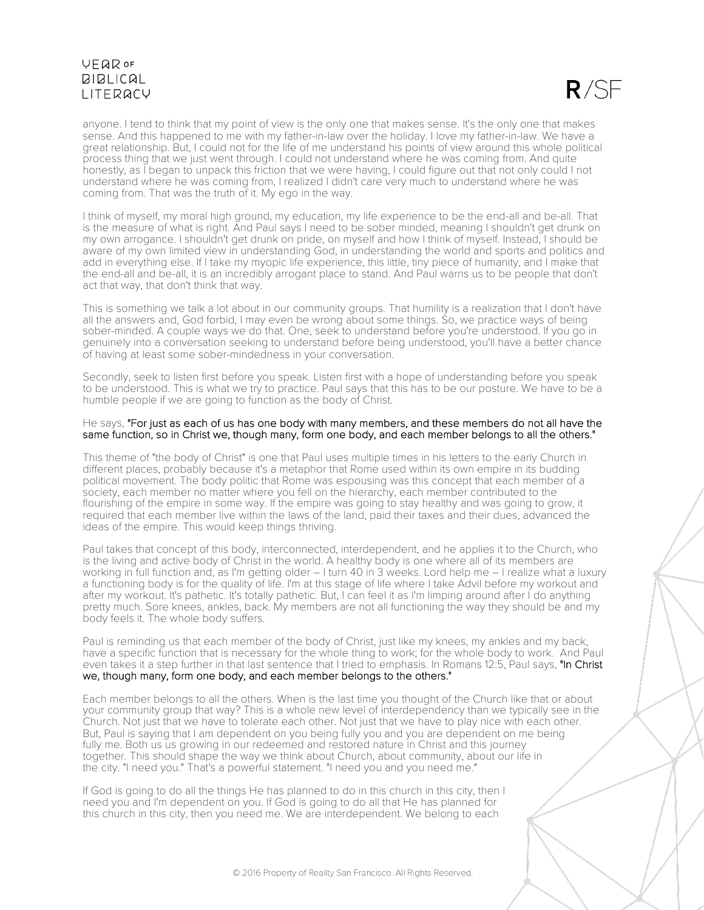

anyone. I tend to think that my point of view is the only one that makes sense. It's the only one that makes sense. And this happened to me with my father-in-law over the holiday. I love my father-in-law. We have a great relationship. But, I could not for the life of me understand his points of view around this whole political process thing that we just went through. I could not understand where he was coming from. And quite honestly, as I began to unpack this friction that we were having, I could figure out that not only could I not understand where he was coming from, I realized I didn't care very much to understand where he was coming from. That was the truth of it. My ego in the way.

I think of myself, my moral high ground, my education, my life experience to be the end-all and be-all. That is the measure of what is right. And Paul says I need to be sober minded, meaning I shouldn't get drunk on my own arrogance. I shouldn't get drunk on pride, on myself and how I think of myself. Instead, I should be aware of my own limited view in understanding God, in understanding the world and sports and politics and add in everything else. If I take my myopic life experience, this little, tiny piece of humanity, and I make that the end-all and be-all, it is an incredibly arrogant place to stand. And Paul warns us to be people that don't act that way, that don't think that way.

This is something we talk a lot about in our community groups. That humility is a realization that I don't have all the answers and, God forbid, I may even be wrong about some things. So, we practice ways of being sober-minded. A couple ways we do that. One, seek to understand before you're understood. If you go in genuinely into a conversation seeking to understand before being understood, you'll have a better chance of having at least some sober-mindedness in your conversation.

Secondly, seek to listen first before you speak. Listen first with a hope of understanding before you speak to be understood. This is what we try to practice. Paul says that this has to be our posture. We have to be a humble people if we are going to function as the body of Christ.

#### He says, "For just as each of us has one body with many members, and these members do not all have the same function, so in Christ we, though many, form one body, and each member belongs to all the others."

This theme of "the body of Christ" is one that Paul uses multiple times in his letters to the early Church in different places, probably because it's a metaphor that Rome used within its own empire in its budding political movement. The body politic that Rome was espousing was this concept that each member of a society, each member no matter where you fell on the hierarchy, each member contributed to the flourishing of the empire in some way. If the empire was going to stay healthy and was going to grow, it required that each member live within the laws of the land, paid their taxes and their dues, advanced the ideas of the empire. This would keep things thriving.

Paul takes that concept of this body, interconnected, interdependent, and he applies it to the Church, who is the living and active body of Christ in the world. A healthy body is one where all of its members are working in full function and, as I'm getting older – I turn 40 in 3 weeks. Lord help me – I realize what a luxury a functioning body is for the quality of life. I'm at this stage of life where I take Advil before my workout and after my workout. It's pathetic. It's totally pathetic. But, I can feel it as I'm limping around after I do anything pretty much. Sore knees, ankles, back. My members are not all functioning the way they should be and my body feels it. The whole body suffers.

Paul is reminding us that each member of the body of Christ, just like my knees, my ankles and my back, have a specific function that is necessary for the whole thing to work; for the whole body to work. And Paul even takes it a step further in that last sentence that I tried to emphasis. In Romans 12:5, Paul says, "In Christ we, though many, form one body, and each member belongs to the others."

Each member belongs to all the others. When is the last time you thought of the Church like that or about your community group that way? This is a whole new level of interdependency than we typically see in the Church. Not just that we have to tolerate each other. Not just that we have to play nice with each other. But, Paul is saying that I am dependent on you being fully you and you are dependent on me being fully me. Both us us growing in our redeemed and restored nature in Christ and this journey together. This should shape the way we think about Church, about community, about our life in the city. "I need you." That's a powerful statement. "I need you and you need me."

If God is going to do all the things He has planned to do in this church in this city, then I need you and I'm dependent on you. If God is going to do all that He has planned for this church in this city, then you need me. We are interdependent. We belong to each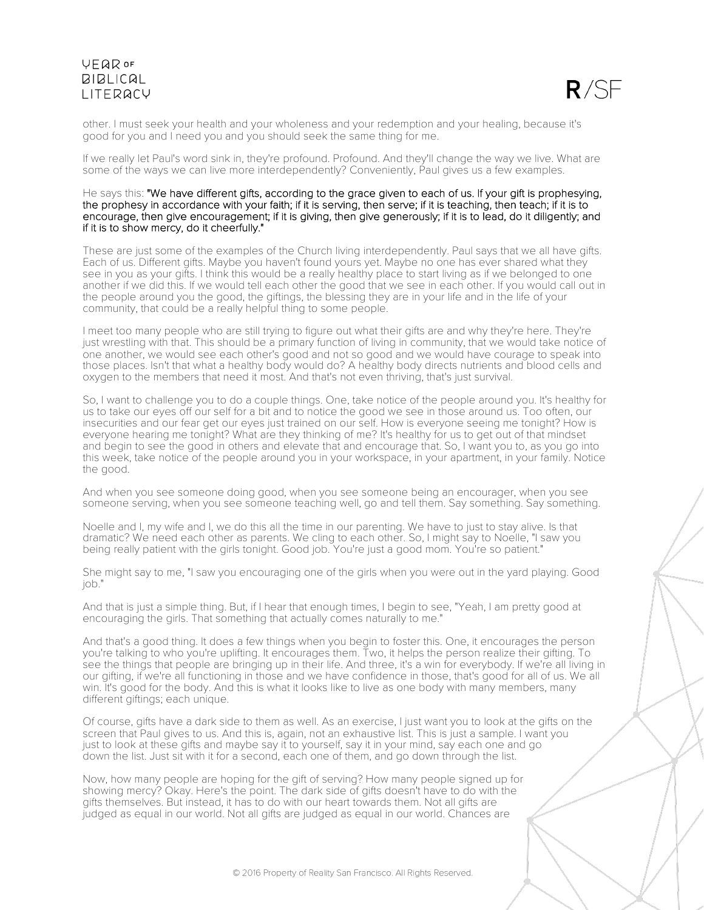

other. I must seek your health and your wholeness and your redemption and your healing, because it's good for you and I need you and you should seek the same thing for me.

If we really let Paul's word sink in, they're profound. Profound. And they'll change the way we live. What are some of the ways we can live more interdependently? Conveniently, Paul gives us a few examples.

#### He says this: "We have different gifts, according to the grace given to each of us. If your gift is prophesying, the prophesy in accordance with your faith; if it is serving, then serve; if it is teaching, then teach; if it is to encourage, then give encouragement; if it is giving, then give generously; if it is to lead, do it diligently; and if it is to show mercy, do it cheerfully."

These are just some of the examples of the Church living interdependently. Paul says that we all have gifts. Each of us. Different gifts. Maybe you haven't found yours yet. Maybe no one has ever shared what they see in you as your gifts. I think this would be a really healthy place to start living as if we belonged to one another if we did this. If we would tell each other the good that we see in each other. If you would call out in the people around you the good, the giftings, the blessing they are in your life and in the life of your community, that could be a really helpful thing to some people.

I meet too many people who are still trying to figure out what their gifts are and why they're here. They're just wrestling with that. This should be a primary function of living in community, that we would take notice of one another, we would see each other's good and not so good and we would have courage to speak into those places. Isn't that what a healthy body would do? A healthy body directs nutrients and blood cells and oxygen to the members that need it most. And that's not even thriving, that's just survival.

So, I want to challenge you to do a couple things. One, take notice of the people around you. It's healthy for us to take our eyes off our self for a bit and to notice the good we see in those around us. Too often, our insecurities and our fear get our eyes just trained on our self. How is everyone seeing me tonight? How is everyone hearing me tonight? What are they thinking of me? It's healthy for us to get out of that mindset and begin to see the good in others and elevate that and encourage that. So, I want you to, as you go into this week, take notice of the people around you in your workspace, in your apartment, in your family. Notice the good.

And when you see someone doing good, when you see someone being an encourager, when you see someone serving, when you see someone teaching well, go and tell them. Say something. Say something.

Noelle and I, my wife and I, we do this all the time in our parenting. We have to just to stay alive. Is that dramatic? We need each other as parents. We cling to each other. So, I might say to Noelle, "I saw you being really patient with the girls tonight. Good job. You're just a good mom. You're so patient."

She might say to me, "I saw you encouraging one of the girls when you were out in the yard playing. Good job."

And that is just a simple thing. But, if I hear that enough times, I begin to see, "Yeah, I am pretty good at encouraging the girls. That something that actually comes naturally to me."

And that's a good thing. It does a few things when you begin to foster this. One, it encourages the person you're talking to who you're uplifting. It encourages them. Two, it helps the person realize their gifting. To see the things that people are bringing up in their life. And three, it's a win for everybody. If we're all living in our gifting, if we're all functioning in those and we have confidence in those, that's good for all of us. We all win. It's good for the body. And this is what it looks like to live as one body with many members, many different giftings; each unique.

Of course, gifts have a dark side to them as well. As an exercise, I just want you to look at the gifts on the screen that Paul gives to us. And this is, again, not an exhaustive list. This is just a sample. I want you just to look at these gifts and maybe say it to yourself, say it in your mind, say each one and go down the list. Just sit with it for a second, each one of them, and go down through the list.

Now, how many people are hoping for the gift of serving? How many people signed up for showing mercy? Okay. Here's the point. The dark side of gifts doesn't have to do with the gifts themselves. But instead, it has to do with our heart towards them. Not all gifts are judged as equal in our world. Not all gifts are judged as equal in our world. Chances are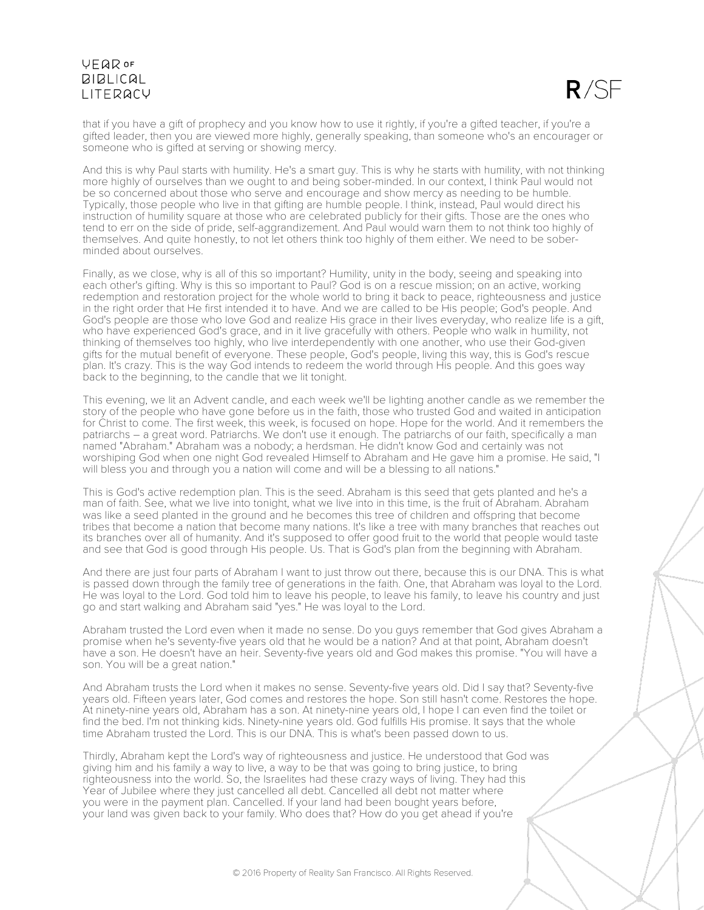

that if you have a gift of prophecy and you know how to use it rightly, if you're a gifted teacher, if you're a gifted leader, then you are viewed more highly, generally speaking, than someone who's an encourager or someone who is gifted at serving or showing mercy.

And this is why Paul starts with humility. He's a smart guy. This is why he starts with humility, with not thinking more highly of ourselves than we ought to and being sober-minded. In our context, I think Paul would not be so concerned about those who serve and encourage and show mercy as needing to be humble. Typically, those people who live in that gifting are humble people. I think, instead, Paul would direct his instruction of humility square at those who are celebrated publicly for their gifts. Those are the ones who tend to err on the side of pride, self-aggrandizement. And Paul would warn them to not think too highly of themselves. And quite honestly, to not let others think too highly of them either. We need to be soberminded about ourselves.

Finally, as we close, why is all of this so important? Humility, unity in the body, seeing and speaking into each other's gifting. Why is this so important to Paul? God is on a rescue mission; on an active, working redemption and restoration project for the whole world to bring it back to peace, righteousness and justice in the right order that He first intended it to have. And we are called to be His people; God's people. And God's people are those who love God and realize His grace in their lives everyday, who realize life is a gift, who have experienced God's grace, and in it live gracefully with others. People who walk in humility, not thinking of themselves too highly, who live interdependently with one another, who use their God-given gifts for the mutual benefit of everyone. These people, God's people, living this way, this is God's rescue plan. It's crazy. This is the way God intends to redeem the world through His people. And this goes way back to the beginning, to the candle that we lit tonight.

This evening, we lit an Advent candle, and each week we'll be lighting another candle as we remember the story of the people who have gone before us in the faith, those who trusted God and waited in anticipation for Christ to come. The first week, this week, is focused on hope. Hope for the world. And it remembers the patriarchs – a great word. Patriarchs. We don't use it enough. The patriarchs of our faith, specifically a man named "Abraham." Abraham was a nobody; a herdsman. He didn't know God and certainly was not worshiping God when one night God revealed Himself to Abraham and He gave him a promise. He said, "I will bless you and through you a nation will come and will be a blessing to all nations."

This is God's active redemption plan. This is the seed. Abraham is this seed that gets planted and he's a man of faith. See, what we live into tonight, what we live into in this time, is the fruit of Abraham. Abraham was like a seed planted in the ground and he becomes this tree of children and offspring that become tribes that become a nation that become many nations. It's like a tree with many branches that reaches out its branches over all of humanity. And it's supposed to offer good fruit to the world that people would taste and see that God is good through His people. Us. That is God's plan from the beginning with Abraham.

And there are just four parts of Abraham I want to just throw out there, because this is our DNA. This is what is passed down through the family tree of generations in the faith. One, that Abraham was loyal to the Lord. He was loyal to the Lord. God told him to leave his people, to leave his family, to leave his country and just go and start walking and Abraham said "yes." He was loyal to the Lord.

Abraham trusted the Lord even when it made no sense. Do you guys remember that God gives Abraham a promise when he's seventy-five years old that he would be a nation? And at that point, Abraham doesn't have a son. He doesn't have an heir. Seventy-five years old and God makes this promise. "You will have a son. You will be a great nation."

And Abraham trusts the Lord when it makes no sense. Seventy-five years old. Did I say that? Seventy-five years old. Fifteen years later, God comes and restores the hope. Son still hasn't come. Restores the hope. At ninety-nine years old, Abraham has a son. At ninety-nine years old, I hope I can even find the toilet or find the bed. I'm not thinking kids. Ninety-nine years old. God fulfills His promise. It says that the whole time Abraham trusted the Lord. This is our DNA. This is what's been passed down to us.

Thirdly, Abraham kept the Lord's way of righteousness and justice. He understood that God was giving him and his family a way to live, a way to be that was going to bring justice, to bring righteousness into the world. So, the Israelites had these crazy ways of living. They had this Year of Jubilee where they just cancelled all debt. Cancelled all debt not matter where you were in the payment plan. Cancelled. If your land had been bought years before, your land was given back to your family. Who does that? How do you get ahead if you're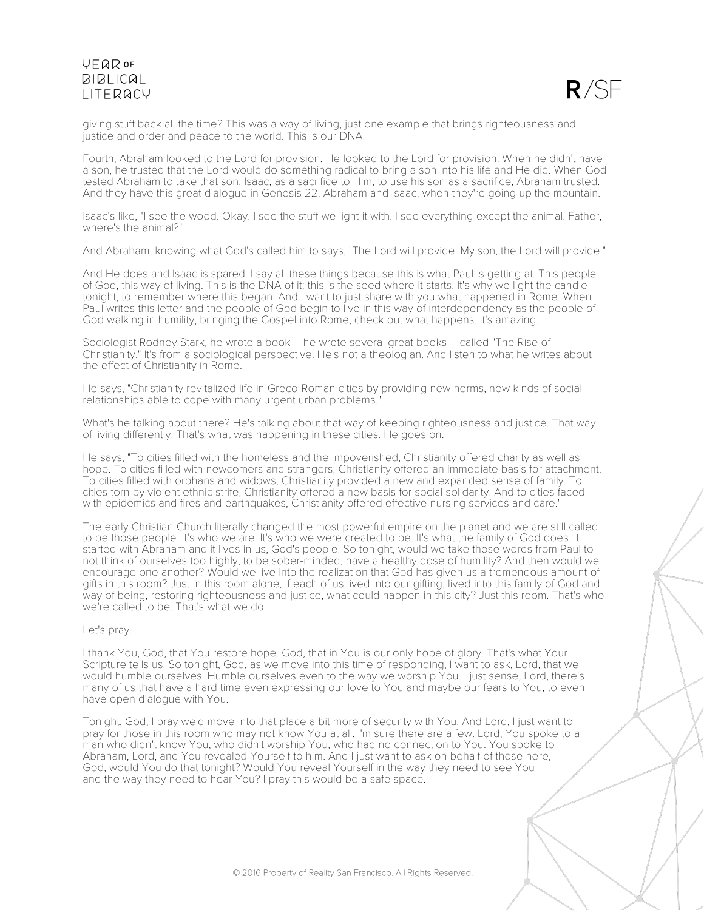

giving stuff back all the time? This was a way of living, just one example that brings righteousness and justice and order and peace to the world. This is our DNA.

Fourth, Abraham looked to the Lord for provision. He looked to the Lord for provision. When he didn't have a son, he trusted that the Lord would do something radical to bring a son into his life and He did. When God tested Abraham to take that son, Isaac, as a sacrifice to Him, to use his son as a sacrifice, Abraham trusted. And they have this great dialogue in Genesis 22, Abraham and Isaac, when they're going up the mountain.

Isaac's like, "I see the wood. Okay. I see the stuff we light it with. I see everything except the animal. Father, where's the animal?"

And Abraham, knowing what God's called him to says, "The Lord will provide. My son, the Lord will provide."

And He does and Isaac is spared. I say all these things because this is what Paul is getting at. This people of God, this way of living. This is the DNA of it; this is the seed where it starts. It's why we light the candle tonight, to remember where this began. And I want to just share with you what happened in Rome. When Paul writes this letter and the people of God begin to live in this way of interdependency as the people of God walking in humility, bringing the Gospel into Rome, check out what happens. It's amazing.

Sociologist Rodney Stark, he wrote a book – he wrote several great books – called "The Rise of Christianity." It's from a sociological perspective. He's not a theologian. And listen to what he writes about the effect of Christianity in Rome.

He says, "Christianity revitalized life in Greco-Roman cities by providing new norms, new kinds of social relationships able to cope with many urgent urban problems."

What's he talking about there? He's talking about that way of keeping righteousness and justice. That way of living differently. That's what was happening in these cities. He goes on.

He says, "To cities filled with the homeless and the impoverished, Christianity offered charity as well as hope. To cities filled with newcomers and strangers, Christianity offered an immediate basis for attachment. To cities filled with orphans and widows, Christianity provided a new and expanded sense of family. To cities torn by violent ethnic strife, Christianity offered a new basis for social solidarity. And to cities faced with epidemics and fires and earthquakes, Christianity offered effective nursing services and care."

The early Christian Church literally changed the most powerful empire on the planet and we are still called to be those people. It's who we are. It's who we were created to be. It's what the family of God does. It started with Abraham and it lives in us, God's people. So tonight, would we take those words from Paul to not think of ourselves too highly, to be sober-minded, have a healthy dose of humility? And then would we encourage one another? Would we live into the realization that God has given us a tremendous amount of gifts in this room? Just in this room alone, if each of us lived into our gifting, lived into this family of God and way of being, restoring righteousness and justice, what could happen in this city? Just this room. That's who we're called to be. That's what we do.

### Let's pray.

I thank You, God, that You restore hope. God, that in You is our only hope of glory. That's what Your Scripture tells us. So tonight, God, as we move into this time of responding, I want to ask, Lord, that we would humble ourselves. Humble ourselves even to the way we worship You. I just sense, Lord, there's many of us that have a hard time even expressing our love to You and maybe our fears to You, to even have open dialogue with You.

Tonight, God, I pray we'd move into that place a bit more of security with You. And Lord, I just want to pray for those in this room who may not know You at all. I'm sure there are a few. Lord, You spoke to a man who didn't know You, who didn't worship You, who had no connection to You. You spoke to Abraham, Lord, and You revealed Yourself to him. And I just want to ask on behalf of those here, God, would You do that tonight? Would You reveal Yourself in the way they need to see You and the way they need to hear You? I pray this would be a safe space.